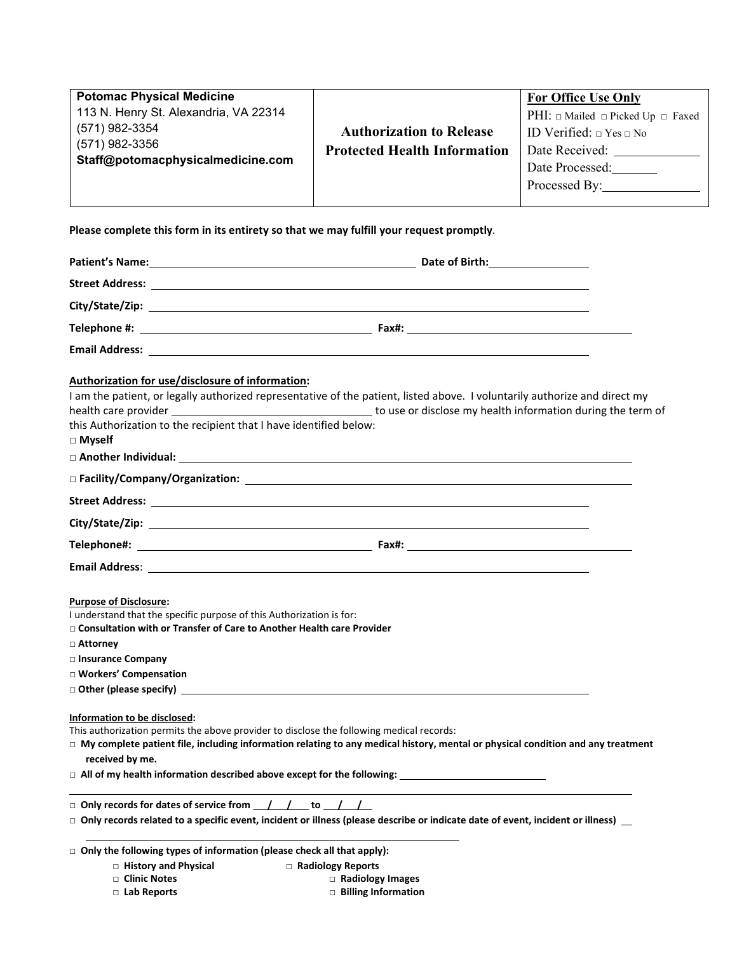| <b>Potomac Physical Medicine</b>                                                                                                                                                                                                                                            |                                     | <b>For Office Use Only</b>              |
|-----------------------------------------------------------------------------------------------------------------------------------------------------------------------------------------------------------------------------------------------------------------------------|-------------------------------------|-----------------------------------------|
| 113 N. Henry St. Alexandria, VA 22314                                                                                                                                                                                                                                       |                                     | PHI: $□$ Mailed $□$ Picked Up $□$ Faxed |
| (571) 982-3354                                                                                                                                                                                                                                                              | <b>Authorization to Release</b>     | ID Verified: $\Box$ Yes $\Box$ No       |
| (571) 982-3356                                                                                                                                                                                                                                                              | <b>Protected Health Information</b> |                                         |
| Staff@potomacphysicalmedicine.com                                                                                                                                                                                                                                           |                                     | Date Processed:                         |
|                                                                                                                                                                                                                                                                             |                                     |                                         |
|                                                                                                                                                                                                                                                                             |                                     |                                         |
| Please complete this form in its entirety so that we may fulfill your request promptly.                                                                                                                                                                                     |                                     |                                         |
|                                                                                                                                                                                                                                                                             |                                     |                                         |
|                                                                                                                                                                                                                                                                             |                                     |                                         |
|                                                                                                                                                                                                                                                                             |                                     |                                         |
|                                                                                                                                                                                                                                                                             |                                     |                                         |
| Email Address: 2008. 2009. 2009. 2010. 2010. 2010. 2010. 2010. 2010. 2010. 2010. 2010. 2010. 2010. 2010. 2010                                                                                                                                                               |                                     |                                         |
| this Authorization to the recipient that I have identified below:<br>□ Myself                                                                                                                                                                                               |                                     |                                         |
|                                                                                                                                                                                                                                                                             |                                     |                                         |
|                                                                                                                                                                                                                                                                             |                                     |                                         |
|                                                                                                                                                                                                                                                                             |                                     |                                         |
|                                                                                                                                                                                                                                                                             |                                     |                                         |
| <b>Purpose of Disclosure:</b><br>I understand that the specific purpose of this Authorization is for:<br>$\Box$ Consultation with or Transfer of Care to Another Health care Provider                                                                                       |                                     |                                         |
| $\Box$ Attorney                                                                                                                                                                                                                                                             |                                     |                                         |
| □ Insurance Company                                                                                                                                                                                                                                                         |                                     |                                         |
| □ Workers' Compensation                                                                                                                                                                                                                                                     |                                     |                                         |
| $\Box$ Other (please specify) $\Box$ and $\Box$ and $\Box$ and $\Box$ and $\Box$ and $\Box$ and $\Box$ and $\Box$ and $\Box$ and $\Box$ and $\Box$ and $\Box$ and $\Box$ and $\Box$ and $\Box$ and $\Box$ and $\Box$ and $\Box$ and $\Box$ and $\Box$ and $\Box$ and $\Box$ |                                     |                                         |
| Information to be disclosed:<br>This authorization permits the above provider to disclose the following medical records:<br>$\Box$ My complete patient file, including information relating to any medical history, mental or physical condition and any treatment          |                                     |                                         |
| received by me.                                                                                                                                                                                                                                                             |                                     |                                         |
| $\Box$ All of my health information described above except for the following:                                                                                                                                                                                               |                                     |                                         |

□ Only records for dates of service from <u>/ / /</u> to <u>/ /</u>

**□ Only records related to a specific event, incident or illness (please describe or indicate date of event, incident or illness)** 

**□ Only the following types of information (please check all that apply):**

- **□ History and Physical □ Radiology Reports**
- -
- **□ Clinic Notes □ Radiology Images**
	-
- 
- **□ Lab Reports □ Billing Information**